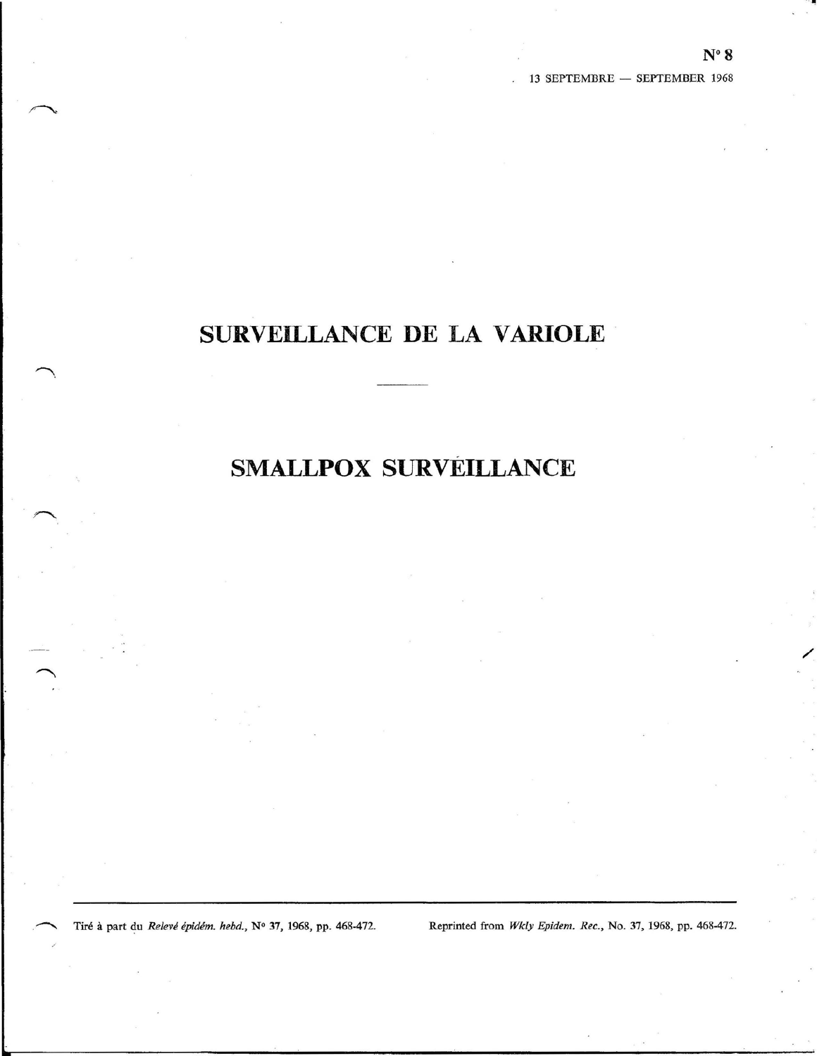N°8

/

# **SURVEILLANCE DE LA VARIOLE**

# **SMALLPOX SURVEILLANCE**

~ Tire a part du *Releve epidem. hebd.,* N° 37, 1968, pp. 468-472. Reprinted from *Wkly Epidem. Rec.,* No. 37, 1968, pp. 468-472.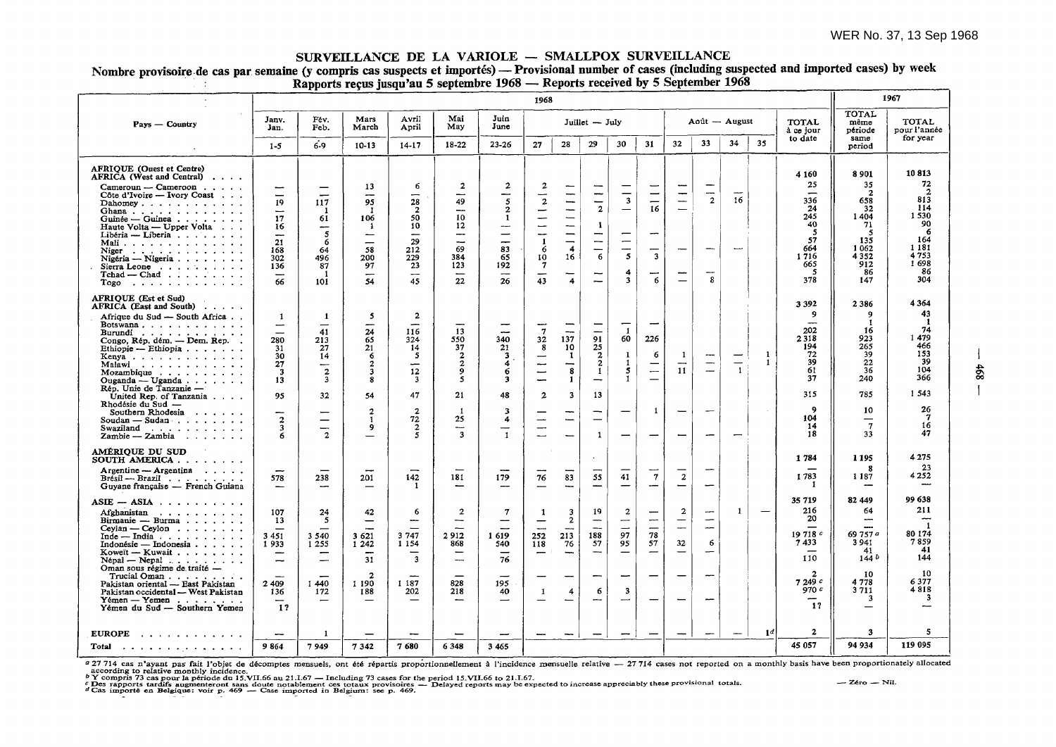## SURVEILLANCE DE LA VARIOLE  $-$  SMALLPOX SURVEILLANCE

#### Nombre provisoire de cas par semaine (y compris cas suspects et importés) - Provisional number of cases (including suspected and imported cases) by week Rapports recus jusqu'au 5 septembre 1968 — Reports received by 5 September 1968  $\sim$

|                                                                                                                                                                                                                                                                                                                                                                                                                                                                        | 1968                                                                                                                                                                                       |                                                                                                                      |                                                                                                                               |                                                                                                                                                             |                                                                                                                                         |                                                                                                                                                                           |                                                                                                                        |                                                                                                                                                |                                                                                                                                                                  | 1967                                                                                                                             |                                                                                 |                                                                                 |                                                                                             |                                          |                          |                                                                                                          |                                                                                                        |                                                                                                             |
|------------------------------------------------------------------------------------------------------------------------------------------------------------------------------------------------------------------------------------------------------------------------------------------------------------------------------------------------------------------------------------------------------------------------------------------------------------------------|--------------------------------------------------------------------------------------------------------------------------------------------------------------------------------------------|----------------------------------------------------------------------------------------------------------------------|-------------------------------------------------------------------------------------------------------------------------------|-------------------------------------------------------------------------------------------------------------------------------------------------------------|-----------------------------------------------------------------------------------------------------------------------------------------|---------------------------------------------------------------------------------------------------------------------------------------------------------------------------|------------------------------------------------------------------------------------------------------------------------|------------------------------------------------------------------------------------------------------------------------------------------------|------------------------------------------------------------------------------------------------------------------------------------------------------------------|----------------------------------------------------------------------------------------------------------------------------------|---------------------------------------------------------------------------------|---------------------------------------------------------------------------------|---------------------------------------------------------------------------------------------|------------------------------------------|--------------------------|----------------------------------------------------------------------------------------------------------|--------------------------------------------------------------------------------------------------------|-------------------------------------------------------------------------------------------------------------|
| Pays - Country                                                                                                                                                                                                                                                                                                                                                                                                                                                         | Janv.<br>Jan.<br>$1 - 5$                                                                                                                                                                   | Fév.<br>Feb.<br>6.9                                                                                                  | Mars<br>March<br>$10-13$                                                                                                      | Avril<br>April<br>$14 - 17$                                                                                                                                 | Mai<br>May<br>$18-22$                                                                                                                   | Juin<br>June<br>$23 - 26$                                                                                                                                                 | 27                                                                                                                     | 28                                                                                                                                             | Juillet - July<br>29                                                                                                                                             | 30                                                                                                                               | 31                                                                              | 32                                                                              | Août — August<br>33                                                                         | 34                                       | 35                       | TOTAL<br>à ce jour<br>to date                                                                            | TOTAL<br>même<br>période<br>same<br>period                                                             | <b>TOTAL</b><br>pour l'année<br>for year                                                                    |
| <b>AFRIQUE</b> (Ouest et Centre)                                                                                                                                                                                                                                                                                                                                                                                                                                       |                                                                                                                                                                                            |                                                                                                                      |                                                                                                                               |                                                                                                                                                             |                                                                                                                                         |                                                                                                                                                                           |                                                                                                                        |                                                                                                                                                |                                                                                                                                                                  |                                                                                                                                  |                                                                                 |                                                                                 |                                                                                             |                                          |                          |                                                                                                          |                                                                                                        |                                                                                                             |
| AFRICA (West and Central)<br>Cameroun — Cameroon $\ldots$ .<br>Côte d'Ivoire — Ivory Coast $\ldots$<br>Dahomey. $\ldots$ .<br>Ghana<br>Guinée — Guinea<br>Haute Volta — Upper Volta<br>Libéria — Liberia<br>Mali<br>Niger $\ldots$ $\ldots$ $\ldots$ $\ldots$ $\ldots$<br>Nigéria — Nigeria $\cdots$ $\cdots$<br>Sierra Leone<br>$Tchad - Chad$ ,<br>$Togo$                                                                                                            | -<br>19<br>--<br>17<br>16<br>-<br>21<br>168<br>302<br>136<br>$\overline{\phantom{m}}$<br>66                                                                                                | 117<br>- 1<br>61<br>$\overline{\phantom{a}}$<br>5<br>6<br>64<br>496<br>87<br>-1<br>101                               | 13<br>---<br>95<br>-1<br>106<br>-1<br>-<br>$\overline{\phantom{0}}$<br>58<br>200<br>97<br>---<br>54                           | 6<br>∽<br>28<br>$\overline{2}$<br>50<br>10<br>29<br>212<br>$\frac{229}{23}$<br>$\overline{45}$                                                              | $\overline{\mathbf{z}}$<br>--<br>49<br>-<br>10<br>12<br>$\overline{\phantom{a}}$<br>$\overline{\phantom{0}}$<br>69<br>384<br>123<br>22  | $\mathbf{2}$<br>-<br>5<br>$\mathbf{2}$<br>$\mathbf{1}$<br>--<br>$\overline{\phantom{0}}$<br>$\overline{\phantom{0}}$<br>83<br>65<br>192<br>$\overline{\phantom{0}}$<br>26 | $\boldsymbol{2}$<br>----<br>$\overline{2}$<br>╾<br>-<br>—<br>--<br>$\mathbf{1}$<br>6<br>10<br>$\mathbf{7}$<br>--<br>43 | -<br>-<br>—<br>-<br>$\overline{\phantom{m}}$<br>$\equiv$<br>$\overline{\phantom{0}}$<br>$\boldsymbol{4}$<br>16<br>-<br>$\overline{\mathbf{4}}$ | —<br>$\overline{\phantom{m}}$<br>$\mathbf{2}$<br>$\mathbf{1}$<br>$\overbrace{\phantom{13333}}$<br>$\overline{\phantom{m}}$<br>—<br>6<br>$\overline{\phantom{a}}$ | $\overline{\phantom{0}}$<br>$\overline{\phantom{0}}$<br>$\overline{\mathbf{3}}$<br>$\overline{\phantom{0}}$<br>--<br>5<br>4<br>3 | $\overline{\phantom{0}}$<br>—<br>16<br>-<br>$\overline{\mathbf{3}}$<br>---<br>6 | ---<br>-<br>---<br>═<br>--<br>$\overline{\phantom{0}}$                          | --<br>$\overline{2}$<br>--<br>8                                                             | 16<br>$\overline{\phantom{0}}$           |                          | 4 1 6 0<br>25<br>336<br>24<br>245<br>40<br>-5<br>57<br>664<br>1716<br>665<br>5<br>378                    | 8901<br>35<br>$\mathbf{2}$<br>658<br>32<br>1404<br>71<br>.5<br>135<br>1062<br>4352<br>912<br>86<br>147 | 10813<br>72<br>2<br>813<br>114<br>1530<br>90<br>6<br>164<br>1 1 8 1<br>4753<br>1698<br>-86<br>304           |
| AFRIQUE (Est et Sud)<br>AFRICA (East and South)<br>Afrique du Sud — South Africa<br>Botswana, $\ldots$ , $\ldots$ , $\ldots$<br>Burundi<br>Congo, Rép. dém. - Dem. Rep.<br>Ethiopie - Ethiopia $\cdots$ .<br>Kenya<br>Malawi<br>Mozambique<br>Ouganda — Uganda $\cdots$<br>Rép. Unie de Tanzanie —<br>United Rep. of Tanzania<br>Rhodésie du Sud —<br>Southern Rhodesia<br>and a state of the<br>$Soudan - Sudan$<br>Swaziland $\cdots$ ,<br>$Zambie - Zambia$ ,,,,,,, | 1<br>$\overline{\phantom{a}}$<br>$\overline{\phantom{0}}$<br>280<br>31<br>30<br>27<br>$\overline{\mathbf{3}}$<br>13<br>95<br>$\overline{\phantom{0}}$<br>$\mathbf{2}$<br>$\mathbf{3}$<br>ĸ | 1<br>$\overline{\phantom{0}}$<br>41<br>213<br>27<br>14<br>—<br>$\overline{2}$<br>3<br>32<br>—<br>—<br>$\overline{2}$ | $\mathbf{5}$<br>--<br>24<br>65<br>21<br>6<br>$\overline{2}$<br>$\overline{\mathbf{3}}$<br>8<br>54<br>$\overline{2}$<br>1<br>9 | $\overline{\mathbf{2}}$<br>---<br>116<br>324<br>14<br>$\mathbf{s}$<br>—<br>12<br>$\overline{\mathbf{3}}$<br>47<br>$\overline{2}$<br>72<br>$\mathbf{2}$<br>5 | 13<br>550<br>37<br>$\mathbf{z}$<br>$\overline{2}$<br>$\overline{9}$<br>5<br>21<br>$\mathbf{f}$<br>25<br>----<br>$\overline{\mathbf{3}}$ | -<br>---<br>340<br>21<br>$\mathbf{3}$<br>4<br>6<br>3<br>48<br>3<br>4<br>$\overline{\phantom{0}}$<br>$\mathbf{1}$                                                          | $\overline{7}$<br>32<br>$\bf{8}$<br>—<br>—<br>—<br>-<br>$\boldsymbol{z}$<br>—<br>—                                     | ---<br>137<br>10<br>$\mathbf{I}$<br>-<br>8<br>1<br>$\overline{\mathbf{3}}$<br>⊸                                                                | 91<br>$\frac{25}{2}$<br>$\frac{2}{1}$<br>$-\cdot$<br>13<br>—<br>$\mathbf{1}$                                                                                     | -1<br>60<br>1<br>1<br>5<br>1<br>—<br>$\overline{\phantom{0}}$                                                                    | 226<br>6<br>—<br>÷,<br>$\qquad \qquad$<br>1                                     | $\mathbf{1}$<br>—<br>11<br>—<br>—<br>—                                          | --<br>$\overline{\phantom{0}}$<br>$\overline{\phantom{0}}$                                  | $\mathbf{1}$<br>$\overline{\phantom{0}}$ | 1<br>1                   | 3392<br>9<br>---<br>202<br>2318<br>194<br>72<br>39<br>61<br>37<br>315<br>$\mathbf{Q}$<br>104<br>14<br>18 | 2386<br>9<br>16<br>923<br>265<br>-39<br>22<br>36<br>240<br>785<br>10<br>—<br>$\mathcal{I}$<br>33       | 4364<br>43<br>-1<br>74<br>1479<br>466<br>153<br>39<br>104<br>366<br>1 543<br>26<br>$\mathbf{7}$<br>16<br>47 |
| AMÉRIQUE DU SUD<br>SOUTH AMERICA<br>$Argentine - Argentina$<br>$Brésil$ - $Brazil$<br>Guyane française — French Guiana                                                                                                                                                                                                                                                                                                                                                 | $\overline{\phantom{0}}$<br>578<br>$\overline{\phantom{0}}$                                                                                                                                | 238<br>-                                                                                                             | 201                                                                                                                           | 142<br>-1                                                                                                                                                   | 181<br>-                                                                                                                                | 179                                                                                                                                                                       | 76                                                                                                                     | 83<br>سب                                                                                                                                       | 55<br>$\overline{a}$                                                                                                                                             | 41<br>$\overline{\phantom{0}}$                                                                                                   | $\overline{7}$<br>$\overline{\phantom{0}}$                                      | $\overline{a}$<br>—                                                             | $\overline{\phantom{m}}$                                                                    |                                          |                          | 1784<br>1783<br>-1                                                                                       | 1195<br>я<br>1187                                                                                      | 4 275<br>23<br>4252<br>---                                                                                  |
| $ASIE - ASIA$<br>Afghanistan<br>Birmanie - Burma<br>Ceylan — Ceylon $\cdots$<br>Inde -- India $\ldots$ ,<br>Indonésie — Indonesia<br>Koweït — Kuwait $\cdots$<br>$Nepal - Nepal$<br>Oman sous régime de traité -<br>Trucial Oman<br>Pakistan oriental - East Pakistan<br>Pakistan occidental - West Pakistan<br>$Y$ émen - $Y$ emen<br>Yémen du Sud - Southern Yemen                                                                                                   | 107<br>13<br>—<br>3451<br>1933<br>$\overline{\phantom{0}}$<br>$\overline{\phantom{0}}$<br>2 4 0 9<br>136<br>1?                                                                             | 24<br>5<br>—<br>3 5 4 0<br>1 2 5 5<br>سد<br>1 440<br>172                                                             | 42<br>$\qquad \qquad \longleftarrow$<br>3 6 21<br>1 2 4 2<br>-<br>31<br>$\overline{2}$<br>1 190<br>188                        | 6<br>$\overline{\phantom{a}}$<br>3 7 4 7<br>1 1 5 4<br>$\overline{\mathbf{3}}$<br>$\overline{a}$<br>1 187<br>202<br>$\sim$                                  | $\mathbf{2}$<br>--<br>2912<br>868<br>$\overline{\phantom{0}}$<br>—<br>$\overline{\phantom{a}}$<br>828<br>218                            | $\tau$<br>--<br>1 6 1 9<br>540<br>$\overline{\phantom{0}}$<br>76<br>195<br>40                                                                                             | 1<br>252<br>118<br>1                                                                                                   | 3<br>$\mathbf{2}$<br>–∽<br>213<br>76<br>$\overline{\phantom{0}}$<br>4                                                                          | 19<br>$\overline{\phantom{m}}$<br>$\overline{\phantom{0}}$<br>188<br>57<br>-<br><b>.</b><br>6<br>$\overline{\phantom{a}}$                                        | $\overline{\mathbf{c}}$<br>$\overline{\phantom{m}}$<br>-<br>97<br>95<br>—<br>-<br>3<br>$\overline{\phantom{0}}$                  | ---<br>78<br>57<br>—<br>—                                                       | $\mathbf{2}$<br>$\overline{\phantom{0}}$<br>32<br>—<br>$\overline{\phantom{0}}$ | $\overline{\phantom{0}}$<br>$\overline{\phantom{m}}$<br>$\overline{\phantom{a}}$<br>6<br>-- | $\mathbf{1}$                             | $\overline{\phantom{0}}$ | 35 719<br>216<br>20<br>19718c<br>7433<br>110<br>$\overline{2}$<br>7249c<br>970 c<br>17                   | 82 449<br>64<br>--<br>69 757 a<br>3941<br>41<br>144b<br>10<br>4778<br>3711<br>3                        | 99 638<br>211<br>---<br>$\mathbf{1}$<br>80 174<br>7859<br>41<br>144<br>10<br>6377<br>4818<br>3<br>-         |
| <b>EUROPE</b><br>. The contract of the contract of the contract of the contract of the contract of the contract of the contract of the contract of the contract of the contract of the contract of the contract of the contract of the contrac                                                                                                                                                                                                                         | $\overline{\phantom{0}}$                                                                                                                                                                   | -1                                                                                                                   |                                                                                                                               | --                                                                                                                                                          |                                                                                                                                         |                                                                                                                                                                           |                                                                                                                        |                                                                                                                                                |                                                                                                                                                                  |                                                                                                                                  |                                                                                 |                                                                                 |                                                                                             |                                          | 1 <sup>d</sup>           | $\mathbf{2}$                                                                                             | 3                                                                                                      | 5                                                                                                           |
| Total                                                                                                                                                                                                                                                                                                                                                                                                                                                                  | 9864                                                                                                                                                                                       | 7949                                                                                                                 | 7342                                                                                                                          | 7680                                                                                                                                                        | 6348                                                                                                                                    | 3 4 6 5                                                                                                                                                                   |                                                                                                                        |                                                                                                                                                |                                                                                                                                                                  |                                                                                                                                  |                                                                                 |                                                                                 |                                                                                             |                                          |                          | 45 057                                                                                                   | 94 934                                                                                                 | 119 095                                                                                                     |

a 27 714 cas n'ayant pas fait l'objet de décomptes mensuels, ont été répartis proportionnellement à l'incidence mensuelle relative - 27 714 cases not reported on a monthly basis have been proportionately allocated<br>accordi

 $\overline{\phantom{a}}$ 468  $\overline{1}$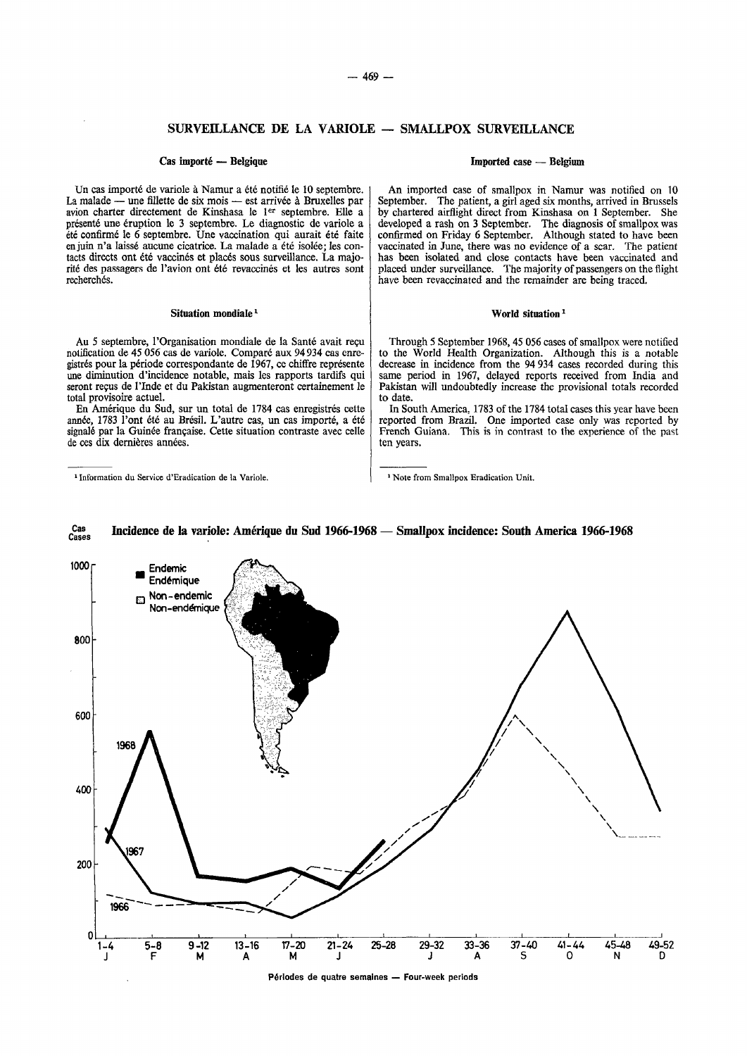### SURVEILLANCE DE LA V ARIOLE SMALLPOX SURVEILLANCE

#### Cas importé - Belgique

Un cas importe de variole a Namur a ete notifie le 10 septembre. La malade - une fillette de six mois - est arrivée à Bruxelles par avion charter directement de Kinshasa le 1<sup>er</sup> septembre. Elle a présenté une éruption le 3 septembre. Le diagnostic de variole a été confirmé le 6 septembre. Une vaccination qui aurait été faite en juin n'a laissé aucune cicatrice. La malade a été isolée; les contacts directs ont ete vaccines et places sons surveillance. La majorité des passagers de l'avion ont été revaccinés et les autres sont recherchés.

#### Situation mondiale<sup>1</sup>

Au 5 septembre, l'Organisation mondiale de la Santé avait reçu notification de 45 056 cas de variole. Compare aux 94934 cas cnregistrés pour la période correspondante de 1967, ce chiffre représente une diminution d'incidence notable, mais les rapports tardifs qui seront reçus de l'Inde et du Pakistan augmenteront certainement le total provisoire actuel.

En Amérique du Sud, sur un total de 1784 cas enregistrés cette année, 1783 l'ont été au Brésil. L'autre cas, un cas importé, a été signalé par la Guinée française. Cette situation contraste avec celle de ces dix dernières années.

#### Imported case - Belgium

An imported case of smallpox in Namur was notified on 10 September. The patient, a girl aged six months, arrived in Brussels by chartered airfiight direct from Kinshasa on 1 September. She developed a rash on 3 September. The diagnosis of smallpox was confirmed on Friday 6 September. Although stated to have been vaccinated in June, there was no evidence of a scar. The patient has been isolated and close contacts have been vaccinated and placed under surveillance. The majority of passengers on the flight have been revaccinated and the remainder are being traced.

#### World situation<sup>1</sup>

Through 5 September 1968, 45 056 cases of smallpox were notified to the World Health Organization. Although this is a notable decrease in incidence from the 94 934 cases recorded during this same period in 1967, delayed reports received from India and Pakistan will undoubtedly increase the provisional totals recorded to date.

In South America, 1783 of the 1784 total cases this year have been reported from Brazil. One imported case only was reported by French Guiana. This is in contrast to the experience of the past ten years.

1 Note from Smallpox Eradication Unit.



Périodes de quatre semaines - Four-week periods

# Cas Incidence de la variole: Amérique du Sud 1966-1968 — Smallpox incidence: South America 1966-1968

<sup>1</sup>Information du Service d'Eradication de Ia Variole.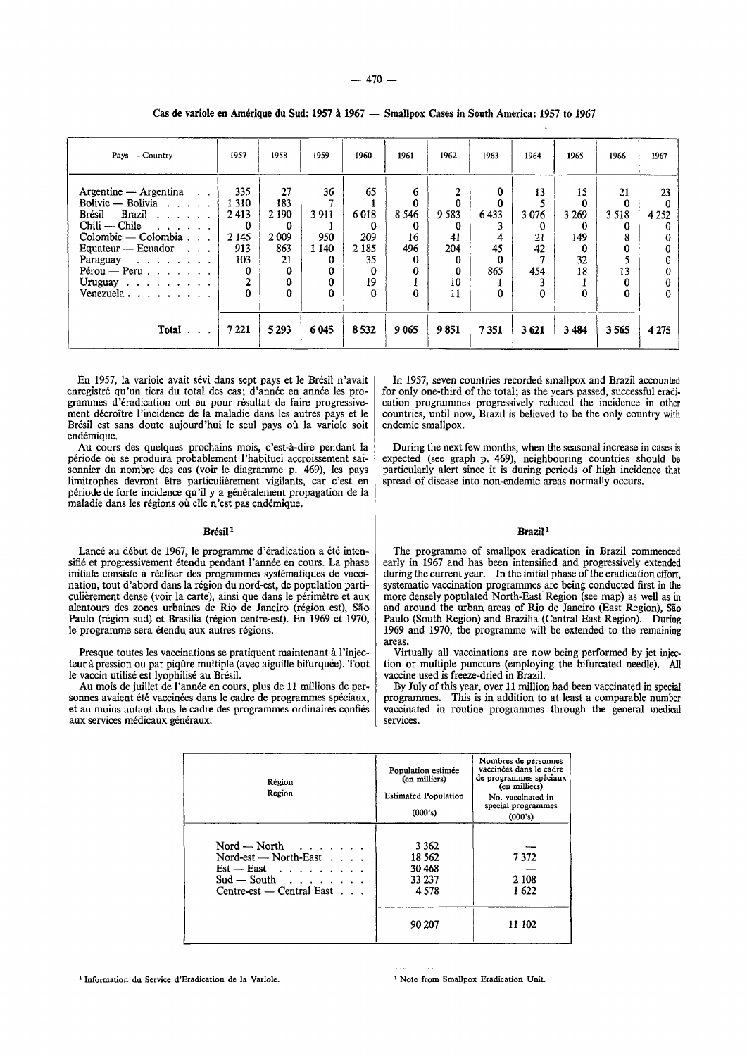| $Pays$ — Country                                                                                                                                                                                                                                                                 | 1957                                                                              | 1958                                                                    | 1959                                             | 1960                                                    | 1961                                               | 1962                                                                            | 1963                                              | 1964                                       | 1965                                                   | 1966                                      | 1967               |
|----------------------------------------------------------------------------------------------------------------------------------------------------------------------------------------------------------------------------------------------------------------------------------|-----------------------------------------------------------------------------------|-------------------------------------------------------------------------|--------------------------------------------------|---------------------------------------------------------|----------------------------------------------------|---------------------------------------------------------------------------------|---------------------------------------------------|--------------------------------------------|--------------------------------------------------------|-------------------------------------------|--------------------|
| $Argentine - Argentina$ .<br>Bolivie - Bolivia $\ldots$<br>$Brésil$ – Brazil $\cdots$ $\cdots$<br>$\text{Child} - \text{Chile}$<br>$Colombie$ – $Colombia$ , , ,<br>Equateur — Ecuador $\ldots$<br>Paraguay<br>$Pérou - Peru$<br>Uruguay $\ldots$ $\ldots$ $\ldots$<br>Venezuela | 335<br>1310<br>2413<br>0<br>2 1 4 5<br>913<br>103<br>0<br>$\overline{\mathbf{c}}$ | 27<br>183<br>2 1 9 0<br>∩<br>2 0 0 9<br>863<br>21<br>0<br>0<br>$\bf{0}$ | 36<br>3911<br>950<br>1 1 4 0<br>0<br>0<br>0<br>0 | 65<br>6018<br>0<br>209<br>2 1 8 5<br>35<br>0<br>19<br>0 | 6<br>0<br>8 5 4 6<br>0<br>16<br>496<br>0<br>0<br>0 | $\mathbf{2}$<br>$\bf{0}$<br>9583<br>0<br>41<br>204<br>0<br>$\bf{0}$<br>10<br>11 | $\bf{0}$<br>0<br>6433<br>4<br>45<br>0<br>865<br>0 | 13<br>3 0 7 6<br>0<br>21<br>42<br>454<br>0 | 15<br>$\bf{0}$<br>3 2 6 9<br>0<br>149<br>0<br>32<br>18 | 21<br>0<br>3518<br>8<br>0<br>13<br>0<br>0 | 23<br>4 2 5 2<br>0 |
| Total                                                                                                                                                                                                                                                                            | 7 2 2 1                                                                           | 5 2 9 3                                                                 | 6 045                                            | 8532                                                    | 9 0 6 5                                            | 9851                                                                            | 7351                                              | 3621                                       | 3484                                                   | 3565                                      | 4 2 7 5            |

Cas de variole en Amérique du Sud: 1957 à 1967 — Smallpox Cases in South America: 1957 to 1967

En 1957, la variole avait sévi dans sept pays et le Brésil n'avait enregistré qu'un tiers du total des cas; d'année en année les programmes d'eradication ont eu pour resultat de faire progressivement decroitre !'incidence de Ia maladie dans les autres pays et le Brésil est sans doute aujourd'hui le seul pays où la variole soit endémique.

Au cours des quelques prochains mois, c'est-a-dire pendant Ia periode ou se produira probablement !'habitue! accroissement saisonnier du nombre des cas (voir le diagramme p. 469), les pays limitrophes devront etre particulierement vigilants, car c'est en période de forte incidence qu'il y a généralement propagation de la maladie dans les regions ou elle n'est pas endemique.

#### Brésil<sup>1</sup>

Lancé au début de 1967, le programme d'éradication a été intensifie et progressivement etendu pendant l'annee en cours. La phase initiale consiste à réaliser des programmes systématiques de vaccination, tout d'abord dans la region du nord-est, de population particulièrement dense (voir la carte), ainsi que dans le périmètre et aux alentours des zones urbaines de Rio de Janeiro (region est), Sao Paulo (région sud) et Brasilia (région centre-est). En 1969 et 1970, le programme sera etendu aux autres regions.

Presque toutes les vaccinations se pratiquent maintenant à l'injecteur à pression ou par piqure multiple (avec aiguille bifurquée). Tout le vaccin utilisé est lyophilisé au Brésil.

Au mois de juillet de l'année en cours, plus de 11 millions de personnes avaient été vaccinées dans le cadre de programmes spéciaux, et au mains autant dans le cadre des programmes ordinaires confies aux services médicaux généraux.

In 1957, seven countries recorded smallpox and Brazil accounted for only one-third of the total; as the years passed, successful eradication programmes progressively reduced the incidence in other countries, until now, Brazil is believed to be the only country with endemic smallpox.

During the next few months, when the seasonal increase in cases is expected (see graph p. 469), neighbouring countries should be particularly alert since it is during periods of high incidence that spread of disease into non-endemic areas normally occurs.

#### Brazil<sup>1</sup>

The programme of smallpox eradication in Brazil commenced early in 1967 and has been intensified and progressively extended during the current year. In the initial phase of the eradication effort, systematic vaccination programmes are being conducted first in the more densely populated North-East Region (see map) as well as in and around the urban areas of Rio de Janeiro (East Region), Sao Paulo (South Region) and Brazilia (Central East Region). During 1969 and 1970, the programme will be extended to the remaining areas.

Virtually all vaccinations are now being performed by jet injection or multiple puncture (employing the bifurcated needle). All vaccine used is freeze-dried in Brazil.

By July of this year, over 11 million had been vaccinated in special programmes. This is in addition to at least a comparable number vaccinated in routine programmes through the general medical services.

| Région<br>Region                                                                                                                                 | Population estimée<br>(en milliers)<br><b>Estimated Population</b><br>(000's) | Nombres de personnes<br>vaccinées dans le cadre<br>de programmes spéciaux<br>(en milliers)<br>No. vaccinated in<br>special programmes<br>(000's) |
|--------------------------------------------------------------------------------------------------------------------------------------------------|-------------------------------------------------------------------------------|--------------------------------------------------------------------------------------------------------------------------------------------------|
| $Nord - North$ , , , , , , ,<br>Nord-est - North-East<br>$Est - East \dots \dots \dots$<br>$Sud - South$<br>Centre-est $-$ Central East $\ldots$ | 3 3 6 2<br>18 5 62<br>30468<br>33 237<br>4578                                 | 7372<br>2 108<br>1622                                                                                                                            |
|                                                                                                                                                  | 90 207                                                                        | 11 102                                                                                                                                           |

<sup>1</sup> Information du Service d'Eradication de la Variole.

<sup>1</sup> Note from Smallpox Eradication Unit.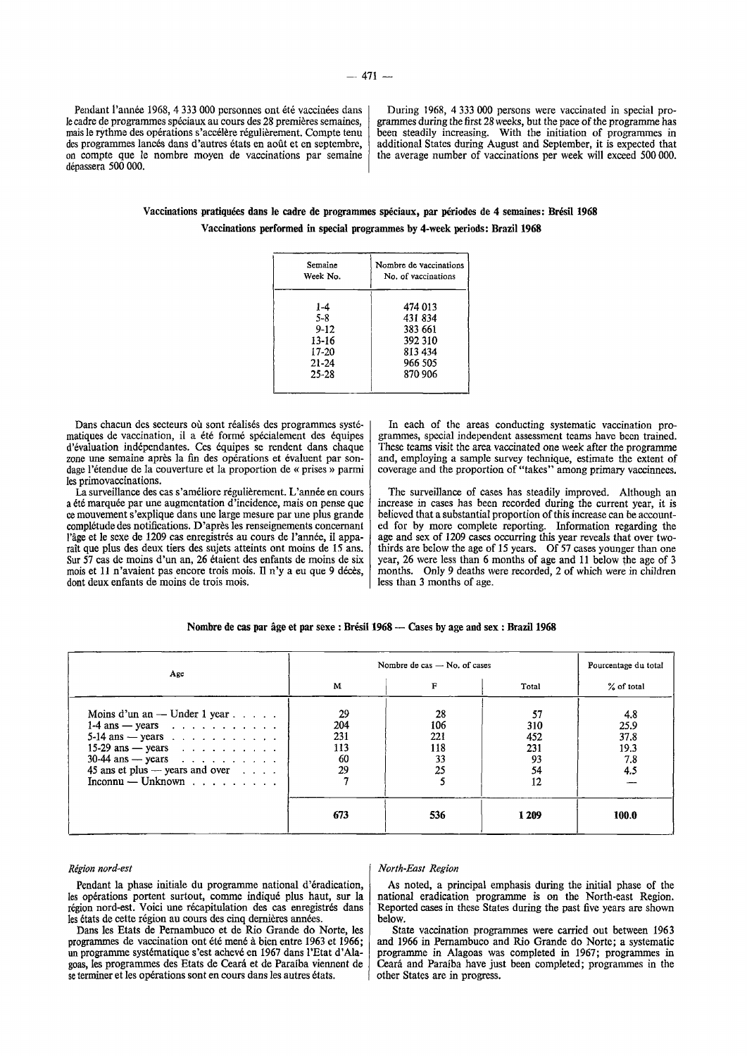Pendant l'année 1968, 4 333 000 personnes ont été vaccinées dans le cadre de programmes spéciaux au cours des 28 premières semaines, mais le rythme des opérations s'accélère régulièrement. Compte tenu des programmes lancés dans d'autres états en août et en septembre, on compte que le nombre moyen de vaccinations par semaine depassera 500 000.

During 1968, 4 333 000 persons were vaccinated in special programmes during the first 28 weeks, but the pace of the programme has been steadily increasing. With the initiation of programmes in additional States during August and September, it is expected that the average number of vaccinations per week will exceed 500 000.

### Vaccinations pratiquees dans le cadre de programmes speciaux, par periodes de 4 semaines: Bresil1968 Vaccinations performed in special programmes by 4-week periods: Brazil 1968

| Semaine   | Nombre de vaccinations |  |  |  |  |  |  |
|-----------|------------------------|--|--|--|--|--|--|
| Week No.  | No. of vaccinations    |  |  |  |  |  |  |
| $1-4$     | 474 013                |  |  |  |  |  |  |
| 5-8       | 431 834                |  |  |  |  |  |  |
| $9-12$    | 383 661                |  |  |  |  |  |  |
| 13-16     | 392 310                |  |  |  |  |  |  |
| 17-20     | 813 434                |  |  |  |  |  |  |
| $21 - 24$ | 966 505                |  |  |  |  |  |  |
| 25-28     | 870 906                |  |  |  |  |  |  |

Dans chacun des secteurs où sont réalisés des programmes systématiques de vaccination, il a ete forme specialement des equipes d'evaluation independantes. Ces equipes se rendent dans chaque zone une semaine après la fin des opérations et évaluent par sondage l'étendue de la couverture et la proportion de « prises » parmi les primovaccinations.

La surveillance des cas s'améliore régulièrement. L'année en cours a été marquée par une augmentation d'incidence, mais on pense que ce mouvement s'explique dans une large mesure par une plus grande completude des notifications. D'apres les renseignements concernant l'âge et le sexe de 1209 cas enregistrés au cours de l'année, il apparait que plus des deux tiers des sujets atteints ont moins de 15 ans. Sur 57 cas de moins d'un an, 26 etaient des enfants de moins de six mois et 11 n'avaient pas encore trois mois. Il n'y a eu que 9 décès, dont deux enfants de moins de trois mois.

In each of the areas conducting systematic vaccination programmes, special independent assessment teams have been trained. These teams visit the area vaccinated one week after the programme and, employing a sample survey technique, estimate the extent of coverage and the proportion of "takes" among primary vaccinnees.

The surveillance of cases has steadily improved. Although an increase in cases has been recorded during the current year, it is believed that a substantial proportion of this increase can be accounted for by more complete reporting. Information regarding the age and sex of 1209 cases occurring this year reveals that over twothirds are below the age of 15 years. Of 57 cases younger than one year, 26 were less than 6 months of age and 11 below the age of 3 months. Only 9 deaths were recorded, 2 of which were in children less than 3 months of age.

#### Nombre de cas par âge et par sexe : Brésil 1968 - Cases by age and sex : Brazil 1968

| Age                                                                                                                                                                                                                                                                                            | Nombre de cas $-$ No. of cases                      | Pourcentage du total                |                                           |                                           |
|------------------------------------------------------------------------------------------------------------------------------------------------------------------------------------------------------------------------------------------------------------------------------------------------|-----------------------------------------------------|-------------------------------------|-------------------------------------------|-------------------------------------------|
|                                                                                                                                                                                                                                                                                                | M                                                   | F                                   | Total                                     | % of total                                |
| Moins d'un an $-$ Under 1 year $\dots$ .<br>$1-4$ ans — years $\ldots$ $\ldots$ $\ldots$<br>$5-14$ ans — years $\ldots$ $\ldots$ $\ldots$ $\ldots$<br>15-29 ans — years $\cdots$ $\cdots$ $\cdots$<br>$30-44$ ans - years<br>45 ans et plus — years and over $\ldots$<br>$Inconnu - Unknown$ , | 29<br>204<br>231<br>113<br>60<br>29<br>$\mathbf{r}$ | 28<br>106<br>221<br>118<br>33<br>25 | 57<br>310<br>452<br>231<br>93<br>54<br>12 | 4.8<br>25.9<br>37.8<br>19.3<br>7.8<br>4.5 |
|                                                                                                                                                                                                                                                                                                | 673                                                 | 536                                 | 1 2 0 9                                   | 100.0                                     |

*Region nord-est* 

Pendant la phase initiale du programme national d'éradication, les opérations portent surtout, comme indiqué plus haut, sur la région nord-est. Voici une récapitulation des cas enregistrés dans les états de cette région au cours des cinq dernières années.

Dans les Etats de Pernambuco et de Rio Grande do Norte, les programmes de vaccination ont ete mene a bien entre 1963 et 1966; un programme systematique s'est acheve en 1967 dans l'Etat d'Alagoas, les programmes des Etats de Ceara et de Paraiba viennent de se terminer et les opérations sont en cours dans les autres états.

#### *North-East Region*

As noted, a principal emphasis during the initial phase of the national eradication programme is on the North-east Region. Reported cases in these States during the past five years are shown below.

State vaccination programmes were carried out between 1963 and 1966 in Pernambuco and Rio Grande do Norte; a systematic programme in Alagoas was completed in 1967; programmes in Ceará and Paraíba have just been completed; programmes in the other States are in progress.